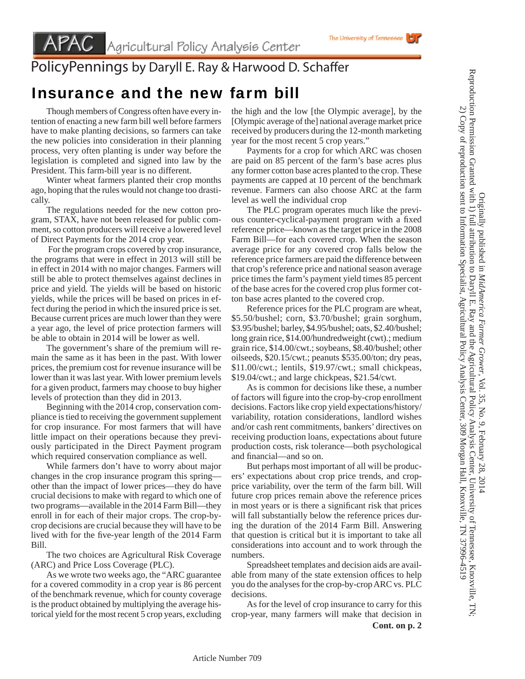## PolicyPennings by Daryll E. Ray & Harwood D. Schaffer

## Insurance and the new farm bill

 Though members of Congress often have every intention of enacting a new farm bill well before farmers have to make planting decisions, so farmers can take the new policies into consideration in their planning process, very often planting is under way before the legislation is completed and signed into law by the President. This farm-bill year is no different.

 Winter wheat farmers planted their crop months ago, hoping that the rules would not change too drastically.

 The regulations needed for the new cotton program, STAX, have not been released for public comment, so cotton producers will receive a lowered level of Direct Payments for the 2014 crop year.

 For the program crops covered by crop insurance, the programs that were in effect in 2013 will still be in effect in 2014 with no major changes. Farmers will still be able to protect themselves against declines in price and yield. The yields will be based on historic yields, while the prices will be based on prices in effect during the period in which the insured price is set. Because current prices are much lower than they were a year ago, the level of price protection farmers will be able to obtain in 2014 will be lower as well.

 The government's share of the premium will remain the same as it has been in the past. With lower prices, the premium cost for revenue insurance will be lower than it was last year. With lower premium levels for a given product, farmers may choose to buy higher levels of protection than they did in 2013.

 Beginning with the 2014 crop, conservation compliance is tied to receiving the government supplement for crop insurance. For most farmers that will have little impact on their operations because they previously participated in the Direct Payment program which required conservation compliance as well.

 While farmers don't have to worry about major changes in the crop insurance program this spring other than the impact of lower prices—they do have crucial decisions to make with regard to which one of two programs—available in the 2014 Farm Bill—they enroll in for each of their major crops. The crop-bycrop decisions are crucial because they will have to be lived with for the five-year length of the 2014 Farm Bill.

 The two choices are Agricultural Risk Coverage (ARC) and Price Loss Coverage (PLC).

 As we wrote two weeks ago, the "ARC guarantee for a covered commodity in a crop year is 86 percent of the benchmark revenue, which for county coverage is the product obtained by multiplying the average historical yield for the most recent 5 crop years, excluding

the high and the low [the Olympic average], by the [Olympic average of the] national average market price received by producers during the 12-month marketing year for the most recent 5 crop years."

 Payments for a crop for which ARC was chosen are paid on 85 percent of the farm's base acres plus any former cotton base acres planted to the crop. These payments are capped at 10 percent of the benchmark revenue. Farmers can also choose ARC at the farm level as well the individual crop

 The PLC program operates much like the previous counter-cyclical-payment program with a fixed reference price—known as the target price in the 2008 Farm Bill—for each covered crop. When the season average price for any covered crop falls below the reference price farmers are paid the difference between that crop's reference price and national season average price times the farm's payment yield times 85 percent of the base acres for the covered crop plus former cotton base acres planted to the covered crop.

 Reference prices for the PLC program are wheat, \$5.50/bushel; corn, \$3.70/bushel; grain sorghum, \$3.95/bushel; barley, \$4.95/bushel; oats, \$2.40/bushel; long grain rice, \$14.00/hundredweight (cwt).; medium grain rice, \$14.00/cwt.; soybeans, \$8.40/bushel; other oilseeds, \$20.15/cwt.; peanuts \$535.00/ton; dry peas, \$11.00/cwt.; lentils, \$19.97/cwt.; small chickpeas, \$19.04/cwt.; and large chickpeas, \$21.54/cwt.

 As is common for decisions like these, a number of factors will figure into the crop-by-crop enrollment decisions. Factors like crop yield expectations/history/ variability, rotation considerations, landlord wishes and/or cash rent commitments, bankers' directives on receiving production loans, expectations about future production costs, risk tolerance—both psychological and financial—and so on.

 But perhaps most important of all will be producers' expectations about crop price trends, and cropprice variability, over the term of the farm bill. Will future crop prices remain above the reference prices in most years or is there a significant risk that prices will fall substantially below the reference prices during the duration of the 2014 Farm Bill. Answering that question is critical but it is important to take all considerations into account and to work through the numbers.

 Spreadsheet templates and decision aids are available from many of the state extension offices to help you do the analyses for the crop-by-crop ARC vs. PLC decisions.

 As for the level of crop insurance to carry for this crop-year, many farmers will make that decision in **Cont. on p. 2**